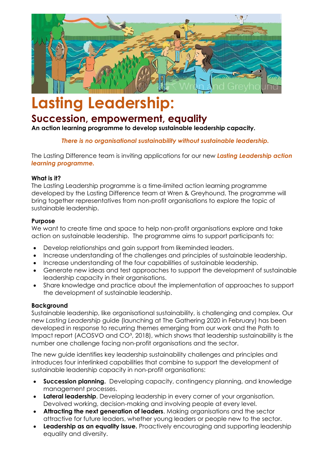

# **Lasting Leadership:**

# **Succession, empowerment, equality**

**An action learning programme to develop sustainable leadership capacity.** 

*There is no organisational sustainability without sustainable leadership.*

The Lasting Difference team is inviting applications for our new *Lasting Leadership action learning programme.*

#### **What is it?**

The Lasting Leadership programme is a time-limited action learning programme developed by the Lasting Difference team at Wren & Greyhound. The programme will bring together representatives from non-profit organisations to explore the topic of sustainable leadership.

# **Purpose**

We want to create time and space to help non-profit organisations explore and take action on sustainable leadership. The programme aims to support participants to:

- Develop relationships and gain support from likeminded leaders.
- Increase understanding of the challenges and principles of sustainable leadership.
- Increase understanding of the four capabilities of sustainable leadership.
- Generate new ideas and test approaches to support the development of sustainable leadership capacity in their organisations.
- Share knowledge and practice about the implementation of approaches to support the development of sustainable leadership.

# **Background**

Sustainable leadership, like organisational sustainability, is challenging and complex. Our new *Lasting Leadership* guide (launching at The Gathering 2020 in February) has been developed in response to recurring themes emerging from our work and the Path to Impact report (ACOSVO and CO<sup>3</sup>, 2018), which shows that leadership sustainability is the number one challenge facing non-profit organisations and the sector.

The new guide identifies key leadership sustainability challenges and principles and introduces four interlinked capabilities that combine to support the development of sustainable leadership capacity in non-profit organisations:

- **Succession planning.** Developing capacity, contingency planning, and knowledge management processes.
- **Lateral leadership**. Developing leadership in every corner of your organisation. Devolved working, decision-making and involving people at every level.
- **Attracting the next generation of leaders**. Making organisations and the sector attractive for future leaders, whether young leaders or people new to the sector.
- **Leadership as an equality issue.** Proactively encouraging and supporting leadership equality and diversity.